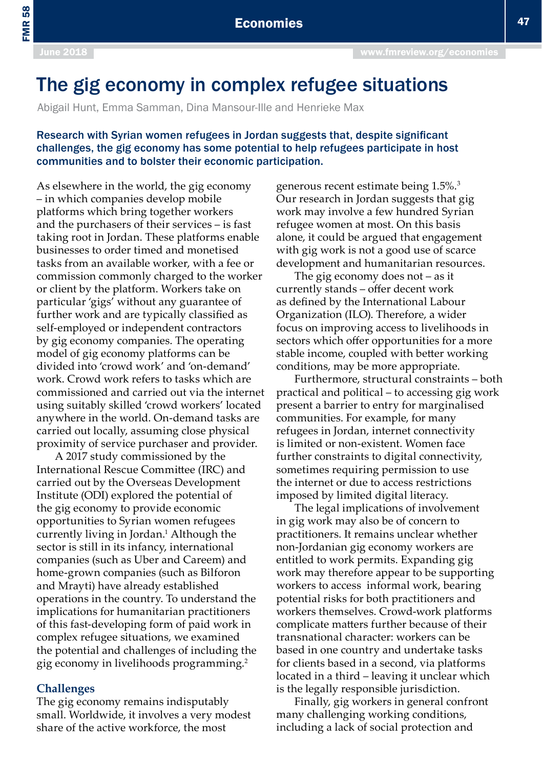FMR 58

# The gig economy in complex refugee situations

Abigail Hunt, Emma Samman, Dina Mansour-Ille and Henrieke Max

## Research with Syrian women refugees in Jordan suggests that, despite significant challenges, the gig economy has some potential to help refugees participate in host communities and to bolster their economic participation.

As elsewhere in the world, the gig economy – in which companies develop mobile platforms which bring together workers and the purchasers of their services – is fast taking root in Jordan. These platforms enable businesses to order timed and monetised tasks from an available worker, with a fee or commission commonly charged to the worker or client by the platform. Workers take on particular 'gigs' without any guarantee of further work and are typically classified as self-employed or independent contractors by gig economy companies. The operating model of gig economy platforms can be divided into 'crowd work' and 'on-demand' work. Crowd work refers to tasks which are commissioned and carried out via the internet using suitably skilled 'crowd workers' located anywhere in the world. On-demand tasks are carried out locally, assuming close physical proximity of service purchaser and provider.

A 2017 study commissioned by the International Rescue Committee (IRC) and carried out by the Overseas Development Institute (ODI) explored the potential of the gig economy to provide economic opportunities to Syrian women refugees currently living in Jordan.<sup>1</sup> Although the sector is still in its infancy, international companies (such as Uber and Careem) and home-grown companies (such as Bilforon and Mrayti) have already established operations in the country. To understand the implications for humanitarian practitioners of this fast-developing form of paid work in complex refugee situations, we examined the potential and challenges of including the gig economy in livelihoods programming.2

#### **Challenges**

The gig economy remains indisputably small. Worldwide, it involves a very modest share of the active workforce, the most

generous recent estimate being 1.5%.3 Our research in Jordan suggests that gig work may involve a few hundred Syrian refugee women at most. On this basis alone, it could be argued that engagement with gig work is not a good use of scarce development and humanitarian resources.

The gig economy does not – as it currently stands – offer decent work as defined by the International Labour Organization (ILO). Therefore, a wider focus on improving access to livelihoods in sectors which offer opportunities for a more stable income, coupled with better working conditions, may be more appropriate.

Furthermore, structural constraints – both practical and political – to accessing gig work present a barrier to entry for marginalised communities. For example, for many refugees in Jordan, internet connectivity is limited or non-existent. Women face further constraints to digital connectivity, sometimes requiring permission to use the internet or due to access restrictions imposed by limited digital literacy.

The legal implications of involvement in gig work may also be of concern to practitioners. It remains unclear whether non-Jordanian gig economy workers are entitled to work permits. Expanding gig work may therefore appear to be supporting workers to access informal work, bearing potential risks for both practitioners and workers themselves. Crowd-work platforms complicate matters further because of their transnational character: workers can be based in one country and undertake tasks for clients based in a second, via platforms located in a third – leaving it unclear which is the legally responsible jurisdiction.

Finally, gig workers in general confront many challenging working conditions, including a lack of social protection and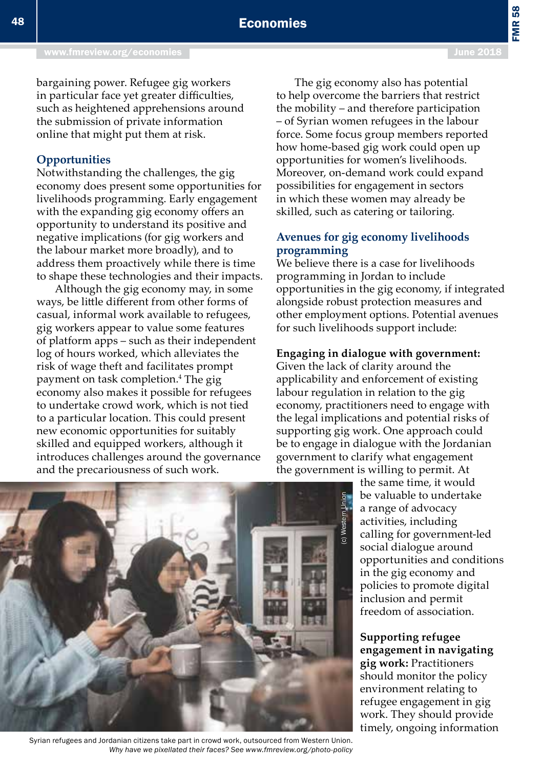FMR 58

bargaining power. Refugee gig workers in particular face yet greater difficulties, such as heightened apprehensions around the submission of private information online that might put them at risk.

## **Opportunities**

Notwithstanding the challenges, the gig economy does present some opportunities for livelihoods programming. Early engagement with the expanding gig economy offers an opportunity to understand its positive and negative implications (for gig workers and the labour market more broadly), and to address them proactively while there is time to shape these technologies and their impacts.

Although the gig economy may, in some ways, be little different from other forms of casual, informal work available to refugees, gig workers appear to value some features of platform apps – such as their independent log of hours worked, which alleviates the risk of wage theft and facilitates prompt payment on task completion.4 The gig economy also makes it possible for refugees to undertake crowd work, which is not tied to a particular location. This could present new economic opportunities for suitably skilled and equipped workers, although it introduces challenges around the governance and the precariousness of such work.

The gig economy also has potential to help overcome the barriers that restrict the mobility – and therefore participation – of Syrian women refugees in the labour force. Some focus group members reported how home-based gig work could open up opportunities for women's livelihoods. Moreover, on-demand work could expand possibilities for engagement in sectors in which these women may already be skilled, such as catering or tailoring.

## **Avenues for gig economy livelihoods programming**

We believe there is a case for livelihoods programming in Jordan to include opportunities in the gig economy, if integrated alongside robust protection measures and other employment options. Potential avenues for such livelihoods support include:

### **Engaging in dialogue with government:**

Given the lack of clarity around the applicability and enforcement of existing labour regulation in relation to the gig economy, practitioners need to engage with the legal implications and potential risks of supporting gig work. One approach could be to engage in dialogue with the Jordanian government to clarify what engagement the government is willing to permit. At

> the same time, it would be valuable to undertake a range of advocacy activities, including calling for government-led social dialogue around opportunities and conditions in the gig economy and policies to promote digital inclusion and permit freedom of association.

**Supporting refugee engagement in navigating gig work:** Practitioners should monitor the policy environment relating to refugee engagement in gig work. They should provide timely, ongoing information



Syrian refugees and Jordanian citizens take part in crowd work, outsourced from Western Union. *Why have we pixellated their faces? See www.fmreview.org/photo-policy*